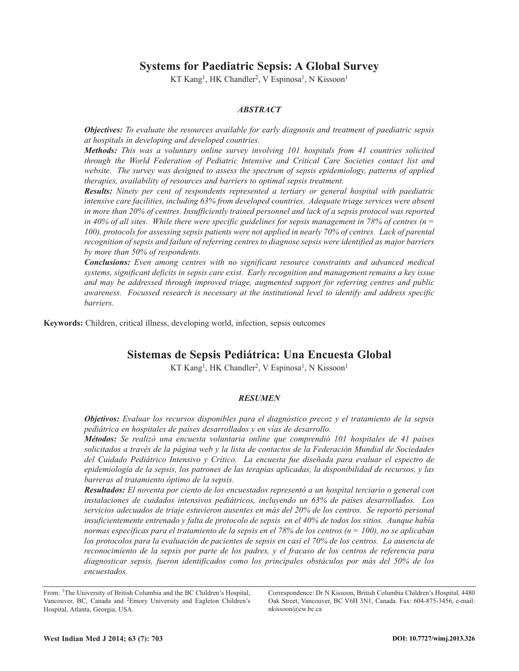# **Systems for Paediatric Sepsis: A Global Survey**

KT Kang<sup>1</sup>, HK Chandler<sup>2</sup>, V Espinosa<sup>1</sup>, N Kissoon<sup>1</sup>

# *ABSTRACT*

*Objectives: To evaluate the resources available for early diagnosis and treatment of paediatric sepsis at hospitals in developing and developed countries.*

*Methods: This was a voluntary online survey involving 101 hospitals from 41 countries solicited through the World Federation of Pediatric Intensive and Critical Care Societies contact list and website. The survey was designed to assess the spectrum of sepsis epidemiology, patterns of applied therapies, availability of resources and barriers to optimal sepsis treatment.*

*Results: Ninety per cent of respondents represented a tertiary or general hospital with paediatric intensive care facilities, including 63% from developed countries. Adequate triage services were absent in more than 20% of centres. Insufficiently trained personnel and lack of a sepsis protocol was reported* in 40% of all sites. While there were specific guidelines for sepsis management in 78% of centres ( $n =$ *100), protocols for assessing sepsis patients were not applied in nearly 70% of centres. Lack of parental recognition of sepsis and failure of referring centres to diagnose sepsis were identified as major barriers by more than 50% of respondents.*

*Conclusions: Even among centres with no significant resource constraints and advanced medical systems, significant deficits in sepsis care exist. Early recognition and management remains a key issue and may be addressed through improved triage, augmented support for referring centres and public awareness. Focussed research is necessary at the institutional level to identify and address specific barriers.*

**Keywords:** Children, critical illness, developing world, infection, sepsis outcomes

# **Sistemas de Sepsis Pediátrica: Una Encuesta Global**

KT Kang<sup>1</sup>, HK Chandler<sup>2</sup>, V Espinosa<sup>1</sup>, N Kissoon<sup>1</sup>

# *RESUMEN*

*Objetivos: Evaluar los recursos disponibles para el diagnóstico precoz y el tratamiento de la sepsis pediátrica en hospitales de países desarrollados y en vías de desarrollo.*

*Métodos: Se realizó una encuesta voluntaria online que comprendió 101 hospitales de 41 países* solicitados a través de la página web y la lista de contactos de la Federación Mundial de Sociedades *del Cuidado Pediátrico Intensivo y Crítico. La encuesta fue diseñada para evaluar el espectro de epidemiología de la sepsis, los patrones de las terapias aplicadas, la disponibilidad de recursos, y las barreras al tratamiento óptimo de la sepsis.*

*Resultados: El noventa por ciento de los encuestados representó a un hospital terciario o general con instalaciones de cuidados intensivos pediátricos, incluyendo un 63% de países desarrollados. Los servicios adecuados de triaje estuvieron ausentes en más del 20% de los centros. Se reportó personal insuficientemente entrenado y falta de protocolo de sepsis en el 40% de todos los sitios. Aunque había* normas específicas para el tratamiento de la sepsis en el 78% de los centros ( $n = 100$ ), no se aplicaban los protocolos para la evaluación de pacientes de sepsis en casi el 70% de los centros. La ausencia de reconocimiento de la sepsis por parte de los padres, y el fracaso de los centros de referencia para *diagnosticar sepsis, fueron identificados como los principales obstáculos por más del 50% de los encuestados.*

Correspondence: Dr N Kissoon, British Columbia Children's Hospital, 4480 Oak Street, Vancouver, BC V6H 3N1, Canada. Fax: 604-875-3456, e-mail: nkissoon@cw.bc.ca

From: 1The University of British Columbia and the BC Children's Hospital, Vancouver, BC, Canada and 2Emory University and Eagleton Children's Hospital, Atlanta, Georgia, USA.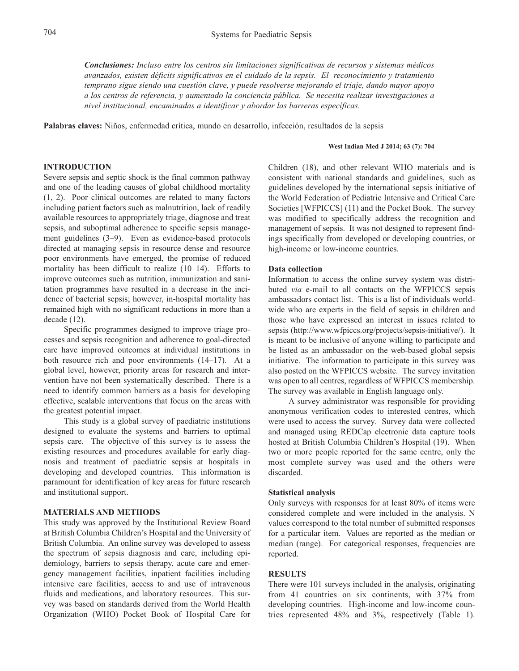*Conclusiones: Incluso entre los centros sin limitaciones significativas de recursos y sistemas médicos avanzados, existen déficits significativos en el cuidado de la sepsis. El reconocimiento y tratamiento temprano sigue siendo una cuestión clave, y puede resolverse mejorando el triaje, dando mayor apoyo a los centros de referencia, y aumentado la conciencia pública. Se necesita realizar investigaciones a nivel institucional, encaminadas a identificar y abordar las barreras específicas.*

**Palabras claves:** Niños, enfermedad crítica, mundo en desarrollo, infección, resultados de la sepsis

#### **West Indian Med J 2014; 63 (7): 704**

# **INTRODUCTION**

Severe sepsis and septic shock is the final common pathway and one of the leading causes of global childhood mortality (1, 2). Poor clinical outcomes are related to many factors including patient factors such as malnutrition, lack of readily available resources to appropriately triage, diagnose and treat sepsis, and suboptimal adherence to specific sepsis management guidelines (3–9). Even as evidence-based protocols directed at managing sepsis in resource dense and resource poor environments have emerged, the promise of reduced mortality has been difficult to realize (10–14). Efforts to improve outcomes such as nutrition, immunization and sanitation programmes have resulted in a decrease in the incidence of bacterial sepsis; however, in-hospital mortality has remained high with no significant reductions in more than a decade (12).

Specific programmes designed to improve triage processes and sepsis recognition and adherence to goal-directed care have improved outcomes at individual institutions in both resource rich and poor environments (14–17). At a global level, however, priority areas for research and intervention have not been systematically described. There is a need to identify common barriers as a basis for developing effective, scalable interventions that focus on the areas with the greatest potential impact.

This study is a global survey of paediatric institutions designed to evaluate the systems and barriers to optimal sepsis care. The objective of this survey is to assess the existing resources and procedures available for early diagnosis and treatment of paediatric sepsis at hospitals in developing and developed countries. This information is paramount for identification of key areas for future research and institutional support.

# **MATERIALS AND METHODS**

This study was approved by the Institutional Review Board at British Columbia Children's Hospital and the University of British Columbia. An online survey was developed to assess the spectrum of sepsis diagnosis and care, including epidemiology, barriers to sepsis therapy, acute care and emergency management facilities, inpatient facilities including intensive care facilities, access to and use of intravenous fluids and medications, and laboratory resources. This survey was based on standards derived from the World Health Organization (WHO) Pocket Book of Hospital Care for

Children (18), and other relevant WHO materials and is consistent with national standards and guidelines, such as guidelines developed by the international sepsis initiative of the World Federation of Pediatric Intensive and Critical Care Societies [WFPICCS] (11) and the Pocket Book. The survey was modified to specifically address the recognition and management of sepsis. It was not designed to represent findings specifically from developed or developing countries, or high-income or low-income countries.

# **Data collection**

Information to access the online survey system was distributed *via* e-mail to all contacts on the WFPICCS sepsis ambassadors contact list. This is a list of individuals worldwide who are experts in the field of sepsis in children and those who have expressed an interest in issues related to sepsis (http://www.wfpiccs.org/projects/sepsis-initiative/). It is meant to be inclusive of anyone willing to participate and be listed as an ambassador on the web-based global sepsis initiative. The information to participate in this survey was also posted on the WFPICCS website. The survey invitation was open to all centres, regardless of WFPICCS membership. The survey was available in English language only.

A survey administrator was responsible for providing anonymous verification codes to interested centres, which were used to access the survey. Survey data were collected and managed using REDCap electronic data capture tools hosted at British Columbia Children's Hospital (19). When two or more people reported for the same centre, only the most complete survey was used and the others were discarded.

### **Statistical analysis**

Only surveys with responses for at least 80% of items were considered complete and were included in the analysis. N values correspond to the total number of submitted responses for a particular item. Values are reported as the median or median (range). For categorical responses, frequencies are reported.

# **RESULTS**

There were 101 surveys included in the analysis, originating from 41 countries on six continents, with 37% from developing countries. High-income and low-income countries represented 48% and 3%, respectively (Table 1).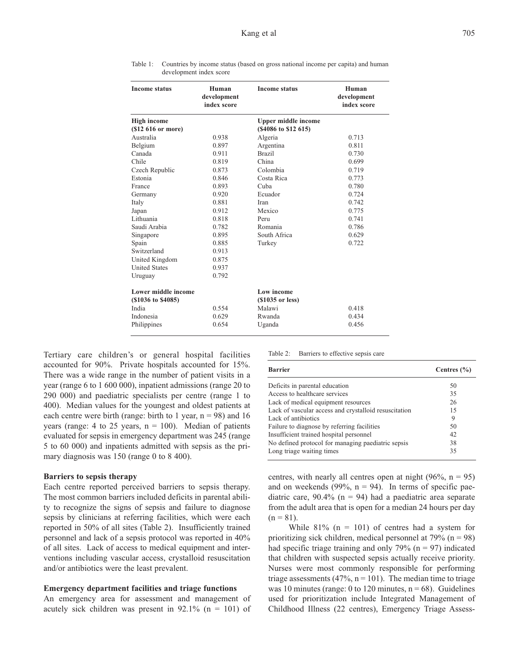| <b>Income status</b>       | Human<br>development<br>index score | <b>Income status</b>       | Human<br>development<br>index score |
|----------------------------|-------------------------------------|----------------------------|-------------------------------------|
| <b>High income</b>         |                                     | <b>Upper middle income</b> |                                     |
| (\$12 616 or more)         |                                     | (\$4086 to \$12 615)       |                                     |
| Australia                  | 0.938                               | Algeria                    | 0.713                               |
| Belgium                    | 0.897                               | Argentina                  | 0.811                               |
| Canada                     | 0.911                               | <b>Brazil</b>              | 0.730                               |
| Chile                      | 0.819                               | China                      | 0.699                               |
| Czech Republic             | 0.873                               | Colombia                   | 0.719                               |
| Estonia                    | 0.846                               | Costa Rica                 | 0.773                               |
| France                     | 0.893                               | Cuba                       | 0.780                               |
| Germany                    | 0.920                               | Ecuador                    | 0.724                               |
| Italy                      | 0.881                               | Iran                       | 0.742                               |
| Japan                      | 0.912                               | Mexico                     | 0.775                               |
| Lithuania                  | 0.818                               | Peru                       | 0.741                               |
| Saudi Arabia               | 0.782                               | Romania                    | 0.786                               |
| Singapore                  | 0.895                               | South Africa               | 0.629                               |
| Spain                      | 0.885                               | Turkey                     | 0.722                               |
| Switzerland                | 0.913                               |                            |                                     |
| United Kingdom             | 0.875                               |                            |                                     |
| <b>United States</b>       | 0.937                               |                            |                                     |
| Uruguay                    | 0.792                               |                            |                                     |
| <b>Lower middle income</b> |                                     | <b>Low income</b>          |                                     |
| (\$1036 to \$4085)         |                                     | $(S1035 \text{ or } less)$ |                                     |
| India                      | 0.554                               | Malawi                     | 0.418                               |
| Indonesia                  | 0.629                               | Rwanda                     | 0.434                               |
| Philippines                | 0.654                               | Uganda                     | 0.456                               |

Table 1: Countries by income status (based on gross national income per capita) and human development index score

Tertiary care children's or general hospital facilities accounted for 90%. Private hospitals accounted for 15%. There was a wide range in the number of patient visits in a year (range 6 to 1 600 000), inpatient admissions (range 20 to 290 000) and paediatric specialists per centre (range 1 to 400). Median values for the youngest and oldest patients at each centre were birth (range: birth to 1 year,  $n = 98$ ) and 16 years (range: 4 to 25 years,  $n = 100$ ). Median of patients evaluated for sepsis in emergency department was 245 (range 5 to 60 000) and inpatients admitted with sepsis as the primary diagnosis was 150 (range 0 to 8 400).

# **Barriers to sepsis therapy**

Each centre reported perceived barriers to sepsis therapy. The most common barriers included deficits in parental ability to recognize the signs of sepsis and failure to diagnose sepsis by clinicians at referring facilities, which were each reported in 50% of all sites (Table 2). Insufficiently trained personnel and lack of a sepsis protocol was reported in 40% of all sites. Lack of access to medical equipment and interventions including vascular access, crystalloid resuscitation and/or antibiotics were the least prevalent.

### **Emergency department facilities and triage functions**

An emergency area for assessment and management of acutely sick children was present in  $92.1\%$  (n = 101) of Table 2: Barriers to effective sepsis care

| <b>Barrier</b>                                        | Centres $(\% )$ |  |
|-------------------------------------------------------|-----------------|--|
| Deficits in parental education                        | 50              |  |
| Access to healthcare services                         | 35              |  |
| Lack of medical equipment resources                   | 26              |  |
| Lack of vascular access and crystalloid resuscitation | 15              |  |
| Lack of antibiotics                                   | 9               |  |
| Failure to diagnose by referring facilities           | 50              |  |
| Insufficient trained hospital personnel               | 42              |  |
| No defined protocol for managing paediatric sepsis    | 38              |  |
| Long triage waiting times                             | 35              |  |

centres, with nearly all centres open at night  $(96\%, n = 95)$ and on weekends (99%,  $n = 94$ ). In terms of specific paediatric care,  $90.4\%$  (n = 94) had a paediatric area separate from the adult area that is open for a median 24 hours per day  $(n = 81)$ .

While  $81\%$  (n = 101) of centres had a system for prioritizing sick children, medical personnel at  $79\%$  (n = 98) had specific triage training and only 79% ( $n = 97$ ) indicated that children with suspected sepsis actually receive priority. Nurses were most commonly responsible for performing triage assessments (47%,  $n = 101$ ). The median time to triage was 10 minutes (range: 0 to 120 minutes,  $n = 68$ ). Guidelines used for prioritization include Integrated Management of Childhood Illness (22 centres), Emergency Triage Assess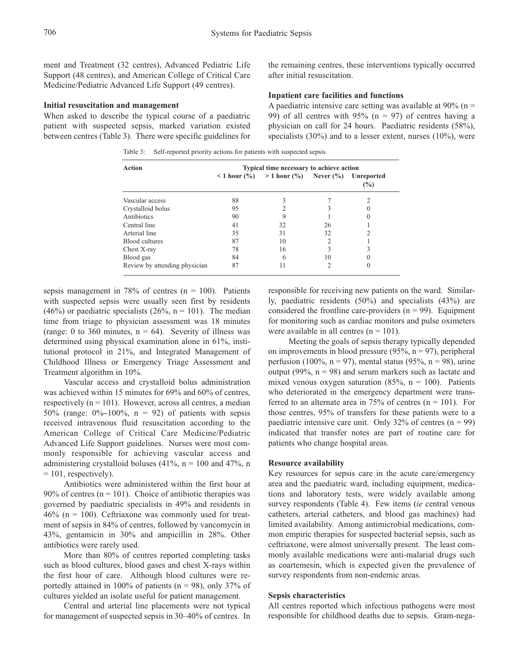ment and Treatment (32 centres), Advanced Pediatric Life Support (48 centres), and American College of Critical Care Medicine/Pediatric Advanced Life Support (49 centres).

#### **Initial resuscitation and management**

When asked to describe the typical course of a paediatric patient with suspected sepsis, marked variation existed between centres (Table 3). There were specific guidelines for

Table 3: Self-reported priority actions for patients with suspected sepsis

the remaining centres, these interventions typically occurred after initial resuscitation.

# **Inpatient care facilities and functions**

A paediatric intensive care setting was available at  $90\%$  (n = 99) of all centres with  $95\%$  (n = 97) of centres having a physician on call for 24 hours. Paediatric residents (58%), specialists  $(30\%)$  and to a lesser extent, nurses  $(10\%)$ , were

| Action                        | Typical time necessary to achieve action |                                                                        |    |                          |  |
|-------------------------------|------------------------------------------|------------------------------------------------------------------------|----|--------------------------|--|
|                               | $\leq 1$ hour $(\% )$                    | $> 1$ hour $\left(\frac{9}{0}\right)$ Never $\left(\frac{9}{0}\right)$ |    | <b>Unreported</b><br>(%) |  |
| Vascular access               | 88                                       |                                                                        |    |                          |  |
| Crystalloid bolus             | 95                                       |                                                                        |    |                          |  |
| Antibiotics                   | 90                                       | 9                                                                      |    |                          |  |
| Central line                  | 41                                       | 32                                                                     | 26 |                          |  |
| Arterial line                 | 35                                       | 31                                                                     | 32 |                          |  |
| Blood cultures                | 87                                       | 10                                                                     | 2  |                          |  |
| Chest X-ray                   | 78                                       | 16                                                                     | 3  |                          |  |
| Blood gas                     | 84                                       | 6                                                                      | 10 |                          |  |
| Review by attending physician | 87                                       | 11                                                                     | 2  |                          |  |

sepsis management in 78% of centres ( $n = 100$ ). Patients with suspected sepsis were usually seen first by residents (46%) or paediatric specialists (26%,  $n = 101$ ). The median time from triage to physician assessment was 18 minutes (range: 0 to 360 minutes,  $n = 64$ ). Severity of illness was determined using physical examination alone in 61%, institutional protocol in 21%, and Integrated Management of Childhood Illness or Emergency Triage Assessment and Treatment algorithm in 10%.

Vascular access and crystalloid bolus administration was achieved within 15 minutes for 69% and 60% of centres, respectively  $(n = 101)$ . However, across all centres, a median 50% (range: 0%**–**100%, n = 92) of patients with sepsis received intravenous fluid resuscitation according to the American College of Critical Care Medicine/Pediatric Advanced Life Support guidelines. Nurses were most commonly responsible for achieving vascular access and administering crystalloid boluses (41%,  $n = 100$  and 47%, n  $= 101$ , respectively).

Antibiotics were administered within the first hour at 90% of centres ( $n = 101$ ). Choice of antibiotic therapies was governed by paediatric specialists in 49% and residents in  $46\%$  (n = 100). Ceftriaxone was commonly used for treatment of sepsis in 84% of centres, followed by vancomycin in 43%, gentamicin in 30% and ampicillin in 28%. Other antibiotics were rarely used.

More than 80% of centres reported completing tasks such as blood cultures, blood gases and chest X-rays within the first hour of care. Although blood cultures were reportedly attained in 100% of patients ( $n = 98$ ), only 37% of cultures yielded an isolate useful for patient management.

Central and arterial line placements were not typical for management of suspected sepsis in 30–40% of centres. In responsible for receiving new patients on the ward. Similarly, paediatric residents (50%) and specialists (43%) are considered the frontline care-providers  $(n = 99)$ . Equipment for monitoring such as cardiac monitors and pulse oximeters were available in all centres  $(n = 101)$ .

Meeting the goals of sepsis therapy typically depended on improvements in blood pressure (95%,  $n = 97$ ), peripheral perfusion (100%,  $n = 97$ ), mental status (95%,  $n = 98$ ), urine output (99%,  $n = 98$ ) and serum markers such as lactate and mixed venous oxygen saturation (85%,  $n = 100$ ). Patients who deteriorated in the emergency department were transferred to an alternate area in  $75\%$  of centres (n = 101). For those centres, 95% of transfers for these patients were to a paediatric intensive care unit. Only  $32\%$  of centres (n = 99) indicated that transfer notes are part of routine care for patients who change hospital areas.

## **Resource availability**

Key resources for sepsis care in the acute care/emergency area and the paediatric ward, including equipment, medications and laboratory tests, were widely available among survey respondents (Table 4). Few items (*ie* central venous catheters, arterial catheters, and blood gas machines) had limited availability. Among antimicrobial medications, common empiric therapies for suspected bacterial sepsis, such as ceftriaxone, were almost universally present. The least commonly available medications were anti-malarial drugs such as coartemesin, which is expected given the prevalence of survey respondents from non-endemic areas.

# **Sepsis characteristics**

All centres reported which infectious pathogens were most responsible for childhood deaths due to sepsis. Gram-nega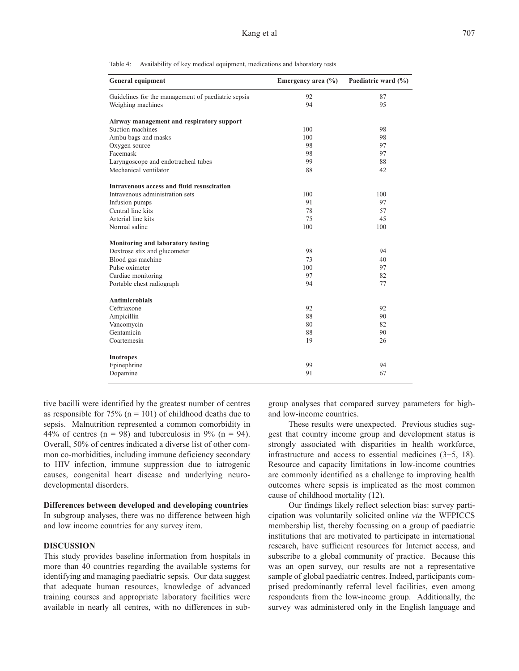Table 4: Availability of key medical equipment, medications and laboratory tests

| <b>General equipment</b>                           | Emergency area $(\% )$ | Paediatric ward (%) |
|----------------------------------------------------|------------------------|---------------------|
| Guidelines for the management of paediatric sepsis | 92                     | 87                  |
| Weighing machines                                  | 94                     | 95                  |
| Airway management and respiratory support          |                        |                     |
| Suction machines                                   | 100                    | 98                  |
| Ambu bags and masks                                | 100                    | 98                  |
| Oxygen source                                      | 98                     | 97                  |
| Facemask                                           | 98                     | 97                  |
| Laryngoscope and endotracheal tubes                | 99                     | 88                  |
| Mechanical ventilator                              | 88                     | 42                  |
| Intravenous access and fluid resuscitation         |                        |                     |
| Intravenous administration sets                    | 100                    | 100                 |
| Infusion pumps                                     | 91                     | 97                  |
| Central line kits                                  | 78                     | 57<br>45            |
| Arterial line kits                                 | 75                     |                     |
| Normal saline                                      | 100                    | 100                 |
| Monitoring and laboratory testing                  |                        |                     |
| Dextrose stix and glucometer                       | 98                     | 94                  |
| Blood gas machine                                  | 73                     | 40                  |
| Pulse oximeter                                     | 100                    | 97                  |
| Cardiac monitoring                                 | 97                     | 82                  |
| Portable chest radiograph                          | 94                     | 77                  |
| <b>Antimicrobials</b>                              |                        |                     |
| Ceftriaxone                                        | 92                     | 92                  |
| Ampicillin                                         | 88                     | 90                  |
| Vancomycin                                         | 80                     | 82                  |
| Gentamicin                                         | 88                     | 90                  |
| Coartemesin                                        | 19                     | 26                  |
| <b>Inotropes</b>                                   |                        |                     |
| Epinephrine                                        | 99                     | 94                  |
| Dopamine                                           | 91                     | 67                  |

tive bacilli were identified by the greatest number of centres as responsible for 75% ( $n = 101$ ) of childhood deaths due to sepsis. Malnutrition represented a common comorbidity in 44% of centres ( $n = 98$ ) and tuberculosis in 9% ( $n = 94$ ). Overall, 50% of centres indicated a diverse list of other common co-morbidities, including immune deficiency secondary to HIV infection, immune suppression due to iatrogenic causes, congenital heart disease and underlying neurodevelopmental disorders.

#### **Differences between developed and developing countries**

In subgroup analyses, there was no difference between high and low income countries for any survey item.

# **DISCUSSION**

This study provides baseline information from hospitals in more than 40 countries regarding the available systems for identifying and managing paediatric sepsis. Our data suggest that adequate human resources, knowledge of advanced training courses and appropriate laboratory facilities were available in nearly all centres, with no differences in subgroup analyses that compared survey parameters for highand low-income countries.

These results were unexpected. Previous studies suggest that country income group and development status is strongly associated with disparities in health workforce, infrastructure and access to essential medicines (3−5, 18). Resource and capacity limitations in low-income countries are commonly identified as a challenge to improving health outcomes where sepsis is implicated as the most common cause of childhood mortality (12).

Our findings likely reflect selection bias: survey participation was voluntarily solicited online *via* the WFPICCS membership list, thereby focussing on a group of paediatric institutions that are motivated to participate in international research, have sufficient resources for Internet access, and subscribe to a global community of practice. Because this was an open survey, our results are not a representative sample of global paediatric centres. Indeed, participants comprised predominantly referral level facilities, even among respondents from the low-income group. Additionally, the survey was administered only in the English language and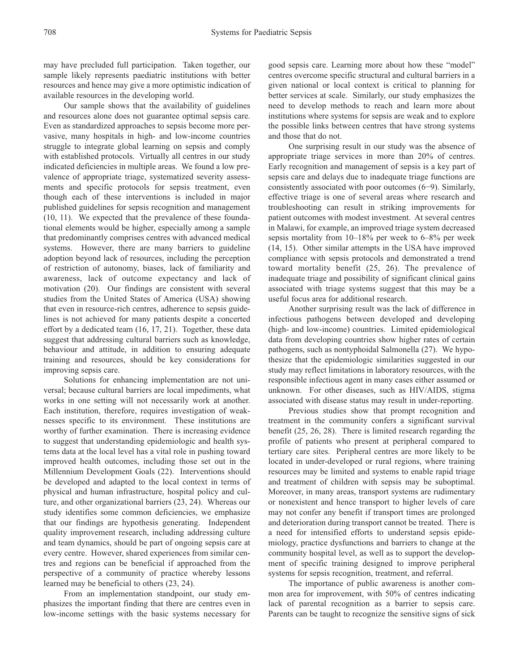may have precluded full participation. Taken together, our sample likely represents paediatric institutions with better resources and hence may give a more optimistic indication of available resources in the developing world.

Our sample shows that the availability of guidelines and resources alone does not guarantee optimal sepsis care. Even as standardized approaches to sepsis become more pervasive, many hospitals in high- and low-income countries struggle to integrate global learning on sepsis and comply with established protocols. Virtually all centres in our study indicated deficiencies in multiple areas. We found a low prevalence of appropriate triage, systematized severity assessments and specific protocols for sepsis treatment, even though each of these interventions is included in major published guidelines for sepsis recognition and management (10, 11). We expected that the prevalence of these foundational elements would be higher, especially among a sample that predominantly comprises centres with advanced medical systems. However, there are many barriers to guideline adoption beyond lack of resources, including the perception of restriction of autonomy, biases, lack of familiarity and awareness, lack of outcome expectancy and lack of motivation (20). Our findings are consistent with several studies from the United States of America (USA) showing that even in resource-rich centres, adherence to sepsis guidelines is not achieved for many patients despite a concerted effort by a dedicated team (16, 17, 21). Together, these data suggest that addressing cultural barriers such as knowledge, behaviour and attitude, in addition to ensuring adequate training and resources, should be key considerations for improving sepsis care.

Solutions for enhancing implementation are not universal; because cultural barriers are local impediments, what works in one setting will not necessarily work at another. Each institution, therefore, requires investigation of weaknesses specific to its environment. These institutions are worthy of further examination. There is increasing evidence to suggest that understanding epidemiologic and health systems data at the local level has a vital role in pushing toward improved health outcomes, including those set out in the Millennium Development Goals (22). Interventions should be developed and adapted to the local context in terms of physical and human infrastructure, hospital policy and culture, and other organizational barriers (23, 24). Whereas our study identifies some common deficiencies, we emphasize that our findings are hypothesis generating. Independent quality improvement research, including addressing culture and team dynamics, should be part of ongoing sepsis care at every centre. However, shared experiences from similar centres and regions can be beneficial if approached from the perspective of a community of practice whereby lessons learned may be beneficial to others (23, 24).

From an implementation standpoint, our study emphasizes the important finding that there are centres even in low-income settings with the basic systems necessary for good sepsis care. Learning more about how these "model" centres overcome specific structural and cultural barriers in a given national or local context is critical to planning for better services at scale. Similarly, our study emphasizes the need to develop methods to reach and learn more about institutions where systems for sepsis are weak and to explore the possible links between centres that have strong systems and those that do not.

One surprising result in our study was the absence of appropriate triage services in more than 20% of centres. Early recognition and management of sepsis is a key part of sepsis care and delays due to inadequate triage functions are consistently associated with poor outcomes (6−9). Similarly, effective triage is one of several areas where research and troubleshooting can result in striking improvements for patient outcomes with modest investment. At several centres in Malawi, for example, an improved triage system decreased sepsis mortality from 10–18% per week to 6–8% per week (14, 15). Other similar attempts in the USA have improved compliance with sepsis protocols and demonstrated a trend toward mortality benefit (25, 26). The prevalence of inadequate triage and possibility of significant clinical gains associated with triage systems suggest that this may be a useful focus area for additional research.

Another surprising result was the lack of difference in infectious pathogens between developed and developing (high- and low-income) countries. Limited epidemiological data from developing countries show higher rates of certain pathogens, such as nontyphoidal Salmonella (27). We hypothesize that the epidemiologic similarities suggested in our study may reflect limitations in laboratory resources, with the responsible infectious agent in many cases either assumed or unknown. For other diseases, such as HIV/AIDS, stigma associated with disease status may result in under-reporting.

Previous studies show that prompt recognition and treatment in the community confers a significant survival benefit (25, 26, 28). There is limited research regarding the profile of patients who present at peripheral compared to tertiary care sites. Peripheral centres are more likely to be located in under-developed or rural regions, where training resources may be limited and systems to enable rapid triage and treatment of children with sepsis may be suboptimal. Moreover, in many areas, transport systems are rudimentary or nonexistent and hence transport to higher levels of care may not confer any benefit if transport times are prolonged and deterioration during transport cannot be treated. There is a need for intensified efforts to understand sepsis epidemiology, practice dysfunctions and barriers to change at the community hospital level, as well as to support the development of specific training designed to improve peripheral systems for sepsis recognition, treatment, and referral.

The importance of public awareness is another common area for improvement, with 50% of centres indicating lack of parental recognition as a barrier to sepsis care. Parents can be taught to recognize the sensitive signs of sick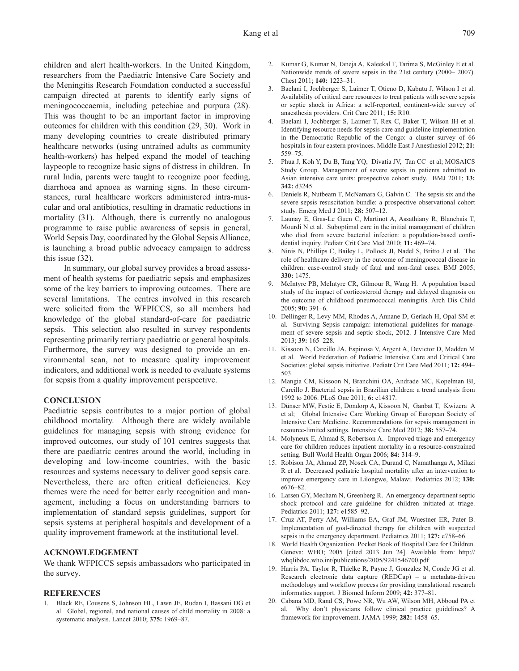children and alert health-workers. In the United Kingdom, researchers from the Paediatric Intensive Care Society and the Meningitis Research Foundation conducted a successful campaign directed at parents to identify early signs of meningococcaemia, including petechiae and purpura (28). This was thought to be an important factor in improving outcomes for children with this condition (29, 30). Work in many developing countries to create distributed primary healthcare networks (using untrained adults as community health-workers) has helped expand the model of teaching laypeople to recognize basic signs of distress in children. In rural India, parents were taught to recognize poor feeding, diarrhoea and apnoea as warning signs. In these circumstances, rural healthcare workers administered intra-muscular and oral antibiotics, resulting in dramatic reductions in mortality (31). Although, there is currently no analogous programme to raise public awareness of sepsis in general, World Sepsis Day, coordinated by the Global Sepsis Alliance, is launching a broad public advocacy campaign to address this issue (32).

In summary, our global survey provides a broad assessment of health systems for paediatric sepsis and emphasizes some of the key barriers to improving outcomes. There are several limitations. The centres involved in this research were solicited from the WFPICCS, so all members had knowledge of the global standard-of-care for paediatric sepsis. This selection also resulted in survey respondents representing primarily tertiary paediatric or general hospitals. Furthermore, the survey was designed to provide an environmental scan, not to measure quality improvement indicators, and additional work is needed to evaluate systems for sepsis from a quality improvement perspective.

# **CONCLUSION**

Paediatric sepsis contributes to a major portion of global childhood mortality. Although there are widely available guidelines for managing sepsis with strong evidence for improved outcomes, our study of 101 centres suggests that there are paediatric centres around the world, including in developing and low-income countries, with the basic resources and systems necessary to deliver good sepsis care. Nevertheless, there are often critical deficiencies. Key themes were the need for better early recognition and management, including a focus on understanding barriers to implementation of standard sepsis guidelines, support for sepsis systems at peripheral hospitals and development of a quality improvement framework at the institutional level.

# **ACKNOWLEDGEMENT**

We thank WFPICCS sepsis ambassadors who participated in the survey.

# **REFERENCES**

1. Black RE, Cousens S, Johnson HL, Lawn JE, Rudan I, Bassani DG et al. Global, regional, and national causes of child mortality in 2008: a systematic analysis. Lancet 2010; **375:** 1969–87.

- 2. Kumar G, Kumar N, Taneja A, Kaleekal T, Tarima S, McGinley E et al. Nationwide trends of severe sepsis in the 21st century (2000– 2007). Chest 2011; **140:** 1223–31.
- 3. Baelani I, Jochberger S, Laimer T, Otieno D, Kabutu J, Wilson I et al. Availability of critical care resources to treat patients with severe sepsis or septic shock in Africa: a self-reported, continent-wide survey of anaesthesia providers. Crit Care 2011; **15:** R10.
- 4. Baelani I, Jochberger S, Laimer T, Rex C, Baker T, Wilson IH et al. Identifying resource needs for sepsis care and guideline implementation in the Democratic Republic of the Congo: a cluster survey of 66 hospitals in four eastern provinces. Middle East J Anesthesiol 2012; **21:** 559–75.
- 5. Phua J, Koh Y, Du B, Tang YQ, Divatia JV, Tan CC et al; MOSAICS Study Group. Management of severe sepsis in patients admitted to Asian intensive care units: prospective cohort study. BMJ 2011; **13: 342:** d3245.
- 6. Daniels R, Nutbeam T, McNamara G, Galvin C. The sepsis six and the severe sepsis resuscitation bundle: a prospective observational cohort study. Emerg Med J 2011; **28:** 507–12.
- 7. Launay E, Gras-Le Guen C, Martinot A, Assathiany R, Blanchais T, Mourdi N et al. Suboptimal care in the initial management of children who died from severe bacterial infection: a population-based confidential inquiry. Pediatr Crit Care Med 2010; **11:** 469–74.
- 8. Ninis N, Phillips C, Bailey L, Pollock JI, Nadel S, Britto J et al. The role of healthcare delivery in the outcome of meningococcal disease in children: case-control study of fatal and non-fatal cases. BMJ 2005; **330:** 1475.
- 9. McIntyre PB, McIntyre CR, Gilmour R, Wang H. A population based study of the impact of corticosteroid therapy and delayed diagnosis on the outcome of childhood pneumococcal meningitis. Arch Dis Child 2005; **90:** 391–6.
- 10. Dellinger R, Levy MM, Rhodes A, Annane D, Gerlach H, Opal SM et al. Surviving Sepsis campaign: international guidelines for management of severe sepsis and septic shock, 2012*.* J Intensive Care Med 2013; **39:** 165–228.
- 11. Kissoon N, Carcillo JA, Espinosa V, Argent A, Devictor D, Madden M et al. World Federation of Pediatric Intensive Care and Critical Care Societies: global sepsis initiative. Pediatr Crit Care Med 2011; **12:** 494– 503.
- 12. Mangia CM, Kissoon N, Branchini OA, Andrade MC, Kopelman BI, Carcillo J. Bacterial sepsis in Brazilian children: a trend analysis from 1992 to 2006. PLoS One 2011; **6:** e14817.
- 13. Dünser MW, Festic E, Dondorp A, Kissoon N, Ganbat T, Kwizera A et al; Global Intensive Care Working Group of European Society of Intensive Care Medicine. Recommendations for sepsis management in resource-limited settings. Intensive Care Med 2012; **38:** 557–74.
- 14. Molyneux E, Ahmad S, Robertson A. Improved triage and emergency care for children reduces inpatient mortality in a resource-constrained setting. Bull World Health Organ 2006; **84:** 314–9.
- 15. Robison JA, Ahmad ZP, Nosek CA, Durand C, Namathanga A, Milazi R et al. Decreased pediatric hospital mortality after an intervention to improve emergency care in Lilongwe, Malawi. Pediatrics 2012; **130:** e676–82.
- 16. Larsen GY, Mecham N, Greenberg R. An emergency department septic shock protocol and care guideline for children initiated at triage. Pediatrics 2011; **127:** e1585–92.
- 17. Cruz AT, Perry AM, Williams EA, Graf JM, Wuestner ER, Pater B. Implementation of goal-directed therapy for children with suspected sepsis in the emergency department. Pediatrics 2011; **127:** e758–66.
- 18. World Health Organization. Pocket Book of Hospital Care for Children. Geneva: WHO; 2005 [cited 2013 Jun 24]. Available from: http:// whqlibdoc.who.int/publications/2005/9241546700.pdf
- 19. Harris PA, Taylor R, Thielke R, Payne J, Gonzalez N, Conde JG et al. Research electronic data capture (REDCap) – a metadata-driven methodology and workflow process for providing translational research informatics support. J Biomed Inform 2009; **42:** 377–81.
- 20. Cabana MD, Rand CS, Powe NR, Wu AW, Wilson MH, Abboud PA et al. Why don't physicians follow clinical practice guidelines? A framework for improvement. JAMA 1999; **282:** 1458–65.